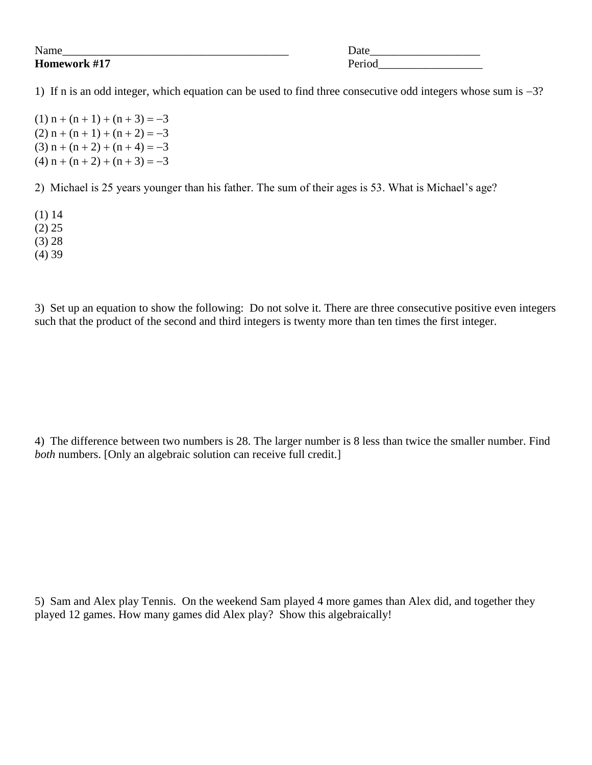## **Homework #17** Period

Name\_\_\_\_\_\_\_\_\_\_\_\_\_\_\_\_\_\_\_\_\_\_\_\_\_\_\_\_\_\_\_\_\_\_\_\_\_\_\_ Date\_\_\_\_\_\_\_\_\_\_\_\_\_\_\_\_\_\_\_

1) If n is an odd integer, which equation can be used to find three consecutive odd integers whose sum is  $-3$ ?

 $(1)$  n + (n + 1) + (n + 3) = -3  $(2)$  n + (n + 1) + (n + 2) = -3 (3)  $n + (n + 2) + (n + 4) = -3$ (4)  $n + (n + 2) + (n + 3) = -3$ 

2) Michael is 25 years younger than his father. The sum of their ages is 53. What is Michael's age?

(1) 14

(2) 25

(3) 28

(4) 39

3) Set up an equation to show the following: Do not solve it. There are three consecutive positive even integers such that the product of the second and third integers is twenty more than ten times the first integer.

4) The difference between two numbers is 28. The larger number is 8 less than twice the smaller number. Find *both* numbers. [Only an algebraic solution can receive full credit.]

5) Sam and Alex play Tennis. On the weekend Sam played 4 more games than Alex did, and together they played 12 games. How many games did Alex play? Show this algebraically!